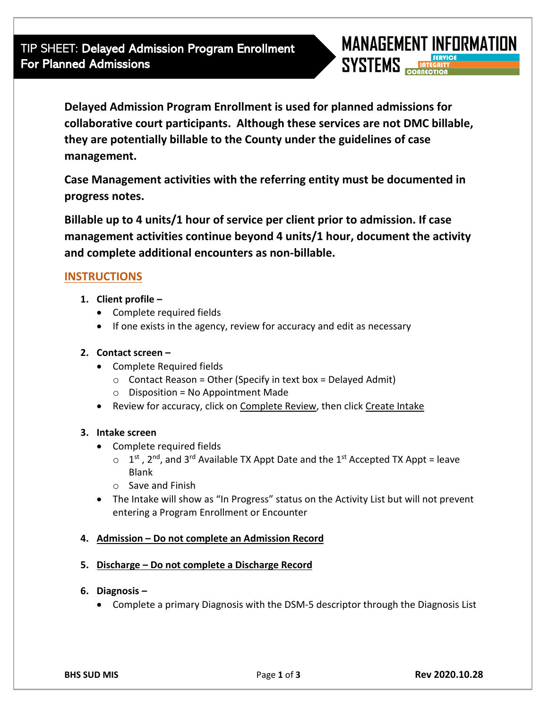TIP SHEET: Delayed Admission Program Enrollment For Planned Admissions



**Delayed Admission Program Enrollment is used for planned admissions for collaborative court participants. Although these services are not DMC billable, they are potentially billable to the County under the guidelines of case management.** 

**Case Management activities with the referring entity must be documented in progress notes.** 

**Billable up to 4 units/1 hour of service per client prior to admission. If case management activities continue beyond 4 units/1 hour, document the activity and complete additional encounters as non-billable.** 

# **INSTRUCTIONS**

- **1. Client profile –**
	- Complete required fields
	- If one exists in the agency, review for accuracy and edit as necessary
- **2. Contact screen –**
	- Complete Required fields
		- $\circ$  Contact Reason = Other (Specify in text box = Delayed Admit)
		- $\circ$  Disposition = No Appointment Made
	- Review for accuracy, click on Complete Review, then click Create Intake

## **3. Intake screen**

- Complete required fields
	- $\circ$  1<sup>st</sup>, 2<sup>nd</sup>, and 3<sup>rd</sup> Available TX Appt Date and the 1<sup>st</sup> Accepted TX Appt = leave Blank
	- o Save and Finish
- The Intake will show as "In Progress" status on the Activity List but will not prevent entering a Program Enrollment or Encounter

## **4. Admission – Do not complete an Admission Record**

## **5. Discharge – Do not complete a Discharge Record**

- **6. Diagnosis –**
	- Complete a primary Diagnosis with the DSM-5 descriptor through the Diagnosis List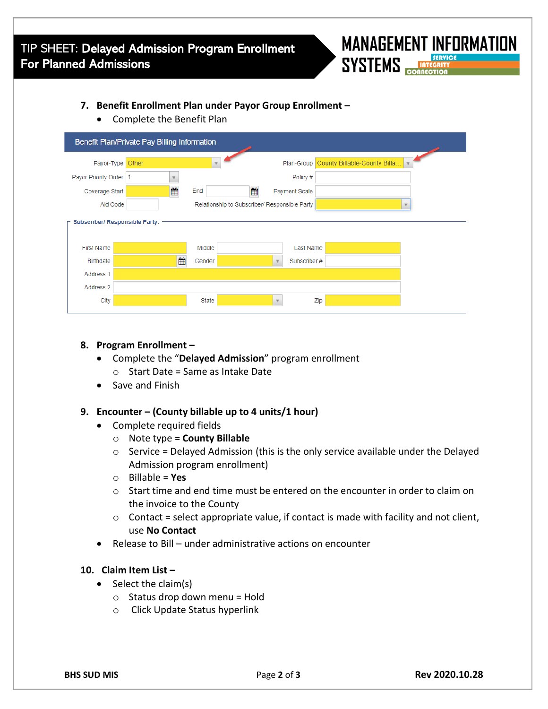

### **7. Benefit Enrollment Plan under Payor Group Enrollment –**

• Complete the Benefit Plan

| Benefit Plan/Private Pay Billing Information |                                               |          |               |                              |  |
|----------------------------------------------|-----------------------------------------------|----------|---------------|------------------------------|--|
| Payor-Type                                   | Other                                         |          | Plan-Group    | County Billable-County Billa |  |
| Payor Priority Order   1                     |                                               |          | Policy #      |                              |  |
| Coverage Start                               | 曲                                             | 酬<br>End | Payment Scale |                              |  |
| Aid Code                                     | Relationship to Subscriber/ Responsible Party |          |               |                              |  |
| Subscriber/ Responsible Party:               |                                               |          |               |                              |  |
| <b>First Name</b>                            |                                               | Middle   | Last Name     |                              |  |
| <b>Birthdate</b>                             | 鱛                                             | Gender   | Subscriber#   |                              |  |
| Address 1                                    |                                               |          |               |                              |  |
| Address 2                                    |                                               |          |               |                              |  |
| City                                         |                                               | State    | $\mathbf{v}$  | Zip                          |  |

#### **8. Program Enrollment –**

- Complete the "**Delayed Admission**" program enrollment
	- $\circ$  Start Date = Same as Intake Date
- Save and Finish

#### **9. Encounter – (County billable up to 4 units/1 hour)**

- Complete required fields
	- o Note type = **County Billable**
	- $\circ$  Service = Delayed Admission (this is the only service available under the Delayed Admission program enrollment)
	- o Billable = **Yes**
	- $\circ$  Start time and end time must be entered on the encounter in order to claim on the invoice to the County
	- $\circ$  Contact = select appropriate value, if contact is made with facility and not client, use **No Contact**
- Release to Bill under administrative actions on encounter

#### **10. Claim Item List –**

- Select the claim(s)
	- $\circ$  Status drop down menu = Hold
	- o Click Update Status hyperlink